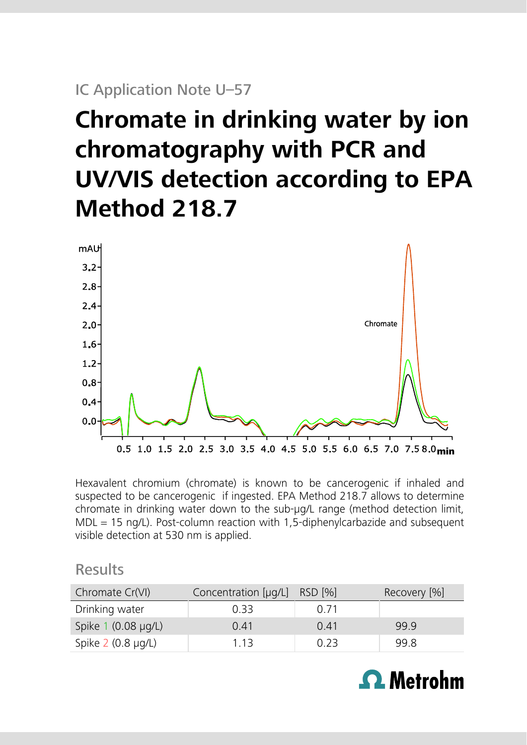## IC Application Note U–57

# **Chromate in drinking water by ion chromatography with PCR and UV/VIS detection according to EPA Method 218.7**



Hexavalent chromium (chromate) is known to be cancerogenic if inhaled and suspected to be cancerogenic if ingested. EPA Method 218.7 allows to determine chromate in drinking water down to the sub-μg/L range (method detection limit,  $MDL = 15$  ng/L). Post-column reaction with 1,5-diphenylcarbazide and subsequent visible detection at 530 nm is applied.

## Results

| Chromate Cr(VI)           | Concentration [µg/L] RSD [%] |      | Recovery [%] |
|---------------------------|------------------------------|------|--------------|
| Drinking water            | 0.33                         | 0.71 |              |
| Spike 1 (0.08 µg/L)       | 0.41                         | 0.41 | 99.9         |
| Spike $2$ (0.8 $\mu$ g/L) | 1.13                         | 0.23 | 99.8         |